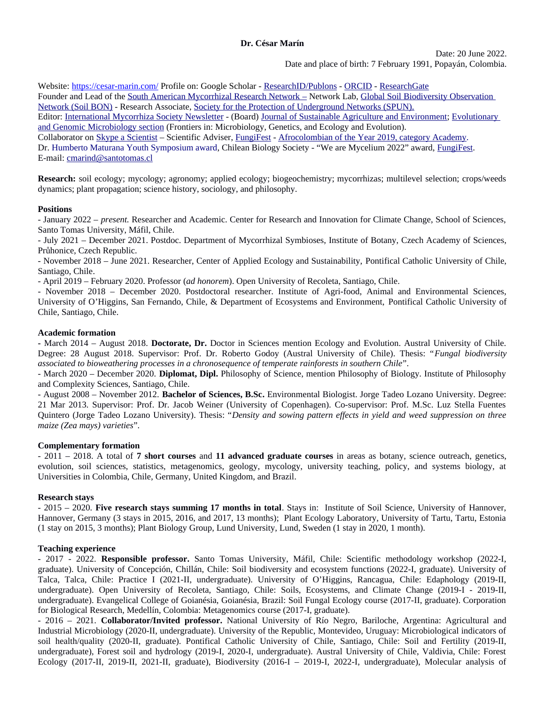**Dr. César Marín**

Date: 20 June 2022. Date and place of birth: 7 February 1991, Popayán, Colombia.Date and place of birth: 7 February 1991, Popayán, Colombia.

Bate and piace of orium. 7 February 1991, Fopayan, Colomn<br>Website: https://cesar-marin.com/ Profile on: Google Scholar - ResearchID/Publons - ORCID - ResearchGate Frounder and Lead of the <u>South American Mycorrhizal Research Network -</u> Network Lab, <u>Global Soft Blodiversity Observation</u><br>In Website: <u>https://cesar-marin.com/</u> Profile on: Google Scholar - <u>Research D/Publons</u> - <u>ORCID</u> - Research <u>Network (Soli BON)</u> - Research Associate, <u>Society for the Protection of Underground Networks (SPUN).</u> Editor: <u>International Mycorrhiza Society Newsletter</u> - (Board) <u>Journal of Sustainable Agriculture and Environment</u>; <u>Evolutionary</u> <u>and Genomic Microbiology section</u> (Frontiers In: Microbiology, Genetics, and Ecology and Evolution). Collaborator on Skype a Scientist – Scientific Adviser, <u>Fungifiest - Afrocolombian of the Year 2019, category Academy</u>. E-mail: cmarind@santotomas.cl

r.-man: <u>cmarmu@santotomas.cr</u><br>**Research:** [soil ecology; mycolo](mailto:cmarind@santotomas.cl)gy; agronomy; applied ecology; biogeochemistry; mycorrhizas; multilevel selection; crops/weeds dynamics; plant propagation; science history, sociology, and philosophy.

# **Positions**

*present.* Researcher and Academic. Center for Research and Innovation for Climate Change, School of Sciences, POSITIONS<br>University, Márta University, Márta University, Márta University, Márta University, Márta University, Márta U Santo Tomas University, Maill, Unite. - January 2022 – *present.* Researcher and Academic. Center for Research and Innovation for Climate Change, School of Sciences,

- July 2021 – December 2021. Postaoc. Department of Mycorrhizal Symbioses, Institute of Botany, Czech Academy of Sciences, Průhonice, Czech Republic.

- November 2018 – June 2021. Researcher, Center of Applied Ecology and Sustainability, Pontifical Catholic University of Chile, *ad honorem*). Open University of Recoleta, Santiago, Chile.  $S$ anuago, Chine. Institute of  $P$  and  $P$  and  $P$  and  $P$  and  $P$  and  $P$  and  $P$  and  $P$  and  $P$  and  $P$  and  $P$  and  $P$  and  $P$  and  $P$  and  $P$  and  $P$  and  $P$  and  $P$  and  $P$  and  $P$  and  $P$  and  $P$  and  $P$  and  $P$  an

- April 2019 – February 2020, Professor (*dd nonorem*). Open Oniversity of Recoleta, Santiago, Chile.

- November 2018 – December 2020. Postdoctoral researcher. Institute of Agri-food, Animal and Environmental Sciences,<br>--University of O'Higgins, San Fernando, Chile, & Department of Ecosystems and Environment, Pontifical Catholic University of Chile, Santiago, Chile.

## **Academic formation**

**Academic formation**<br>- March 2014 – August 2018. **Doctorate, Dr.** Doctor in Sciences mention Ecology and Evolution. Austral University of Chile. *Fungal biodiversity* - March 2014 – August 2018. **Doctorate, Dr.** Doctor in Sciences mention Ecology and Evolution. A<br>Degree: 28 August 2018. Supervisor: Prof. Dr. Roberto Godoy (Austral University of Chile). Th<br>associated to bioweathering pro Degree: 28 August 2018. Super Degree: 28 August 2018. Supervisor: Prot. Dr. Roberto Godoy (Austral University of Chile). Thesis: *Pungal biodiversity*<br>associated to bioweathering processes in a chronosequence of temperate rainforests in southern Chile" associated to bioweathering processes in a chronosequence of temperate rainforests in southern Chile".

and Complexity Sciences, Santiago, Chile. - March 2020 – December 2020. **Dipiomat, Dipi.** Philosophy of Science, mention Philosophy of Biology. Institute of Philosophy<br>and Complexity Sciences, Santiago, Chile.<br>- August 2008 – November 2012. **Bachelor of Sciences,** 

21 Mar 2013. Supervisor: Prof. Dr. Jacob Weiner (University of Copenhagen). Co-supervisor: Prof. M.Sc. Luz Stella Fuentes - August 2008 – November 2012. **Bacnelor of Scienc** *Density and sowing pattern effects in yield and weed suppression on three maize (Zea mays) varieties*".

# **Complementary formation**

**Complementary formation**<br>- 2011 – 2018. A total of **7 short courses** and **11 advanced graduate courses** in areas as botany, science outreach, genetics, evolution, soil sciences, statistics, metagenomics, geology, mycology, university teaching, policy, and systems biology, at  $-2011 - 2016$ . A total of 7 snort courses and 11 advanced graduat Universities in Colombia, Chile, Germany, United Kingdom, and Brazil.

# **Research stays** - 2015 – 2020.

**Research stays**<br>- 2015 – 2020. **Five research stays summing 17 months in total**. Stays in: Institute of Soil Science, University of Hannover, - 2015 – 2020. Five research stays summing 17 months in total. Stays in: Institute of Son Science, Or<br>--Hannover, Germany (3 stays in 2015, 2016, and 2017, 13 months); Plant Ecology Laboratory, University of Tartu, Tartu, Estonia (1 stay on 2015, 3 months); Plant Biology Group, Lund University, Lund, Sweden (1 stay in 2020, 1 month).

# **-**<br>Teaching experience

**Teaching experience**<br>- 2017 - 2022. **Responsible professor.** Santo Tomas University, Máfil, Chile: Scientific methodology workshop (2022-I, graduate). Oniversity of Concepcion, Chillan, Chile: Soil biodiversity and ecosystem functions (2022-1, graduate). Oniversity of - 2017 - 2022. Responsible professor, Santo Tomas University, Maili, Chile: Scientific methodology workshop (2022-1, Talca, Talca, Chile: Practice I (2021-II, undergraduate). Oniversity of O-Higgins, Rancagua, Chile: Edaphology (2019-II, undergraduate). Open University of Recoleta, Santiago, Uniie: Solis, Ecosystems, and Ulmate Unange (2019-I - 2019-II, undergraduate). Evangelical College of Golanesia, Golanesia, Brazil: Soll Fungal Ecology course (2017-11, graduate). Corporation undergraduate). Evangelical College of Golanesia, Golanesia, Brazil: Soll Fungal Ecology course (2017-11, graduate). Corporation<br>for Biological Research, Medellín, Colombia: Metagenomics course (2017-I, graduate).<br>- 2016 –

s 2016 - 2021. **Conaborator/invited professor.** National University of Rio Negro, Barlioche, Argentina: Agricultural and industrial Microbiology (2020-II, undergraduate). Oniversity of the Republic, Montevideo, Oruguay: Microbiological Indicators of Son health/quality (2020-II, graduate). Pontifical Catholic University of Chile, Santiago, Chile: Son and Fertifity (2019-II, undergraduate), Forest soil and hydrology (2019-I, 2020-I, undergraduate). Austral University of Chile, Valdivia, Chile: Forest Ecology (2017-II, 2019-II, 2021-II, graduate), Biodiversity (2016-I - 2019-I, 2022-I, undergraduate), Molecular analysis of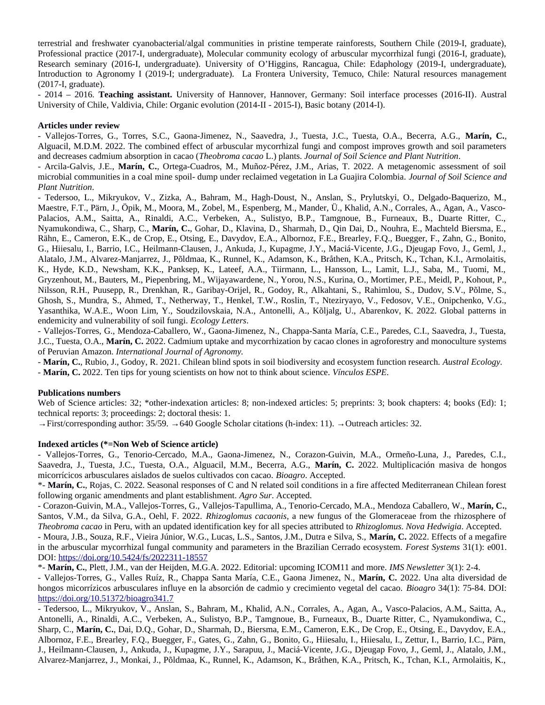terrestrial and freshwater cyanobacterial/algal communities in pristine temperate rainforests, Southern Chile (2019-I, graduate), Professional practice (2017-I, undergraduate), Molecular community ecology of arbuscular mycorrhizal rungi (2016-I, graduate), terrestrial and freshwater cyanobacterial/algal communities in pristine temperate rainforests, Southern Chile (2019-I, graduate), Research seminary (2016-1, undergraduate). University of O Higgins, Rancagua, Chile: Edaphology (2019-1, undergraduate), introduction to Agronomy I (2019-i; undergraduate). La Frontera University, Temuco, Chile: Natural resources management (2017-I, graduate). Introduction to Agronomy i (2019-i; undergraduate). La Frontera University, Temuco, Chile: Natural resources management<br>(2017-I, graduate).<br>- 2014 – 2016. **Teaching assistant.** University of Hannover, Hannover, Germany: So

University of Chile, Valdivia, Chile: Organic evolution (2014-II - 2015-I), Basic botany (2014-I).

#### **Articles under review** - Vallejos-Torres, G., Torres, S.C., Gaona-Jimenez, N., Saavedra, J., Tuesta, J.C., Tuesta, O.A., Becerra, A.G.,

<mark>Articles under review</mark><br>- Vallejos-Torres, G., Torres, S.C., Gaona-Jimenez, N., Saavedra, J., Tuesta, J.C., Tuesta, O.A., Becerra, A.G., **Marín, C.**, Alguacii, M.D.M. 2022. The combined effect of arbuscular mycorrhizal fungi and compost improves growth and soli parameters - Vallejos-Torres, G., Torres, S.C., Gaona-*Theory Callejos-Torres, G., Torres, S.C., Gaona-Jimenez, N., Saavedra, J., Tuesta, J.C., Tuesta, O.A., Becerra, A.G., Alguacil, M.D.M. 2022. The combined effect of arbuscular mycorrhizal fungi and compost improves growth* 

- Arcila-Galvis, J.E., Marín, C., Ortega-Cuadros, M., Muñoz-Pérez, J.M., Arias, T. 2022. A metagenomic assessment of soil *Journal of Soil Science and* - Arcua-Garvis,<br>microbial comn<br>*Plant Nutrition*. micropial communities in a coal mine spoil- dump under reclaimed vegetation in La Guajira Colombia. Journal of Soll Science and

Plant Nutrition.<br>- Tedersoo, L., Mikryukov, V., Zizka, A., Bahram, M., Hagh-Doust, N., Anslan, S., Prylutskyi, O., Delgado-Baquerizo, M., - Tedersoo, L., Mikryukov, V., Zizka, A., Bahram, M., Hagh-Doust, N., Ansian, S., Prylutskyi, O., Deigado-Baquerizo, M.,<br>-Maestre, F.T., Pärn, J., Öpik, M., Moora, M., Zobel, M., Espenberg, M., Mander, Ü., Khalid, A.N., Corrales, A., Agan, A., Vascoмаеѕие, ғ.т., ғатп, л., Орік, м., мюога, м., zobei, м., Espenberg, м., мапαеr, U., Knand, A.N., Corrates, A., Agan, A., Vasco-<br>Palacios, A.M., Saitta, A., Rinaldi, A.C., Verbeken, A., Sulistyo, B.P., Tamgnoue, B., Furneau Raini, E., Cameron, E.K., de Crop, E., Otsing, E., Davydov, E.A., Albornoz, F.E., Brearley, F.Q., Buegger, F., Zann, G., Bonito,<br>K.I., Y. Nyamukondiwa, C., Sharp, C., Marín, C., Gohar, D., Klavina, D., Sharmah, D., Qin Dai, D., Nouhra, E., Machteld Biersma, E., G., Hilesalu, I., Barrio, I.C., Heilmann-Clausen, J., Ankuda, J., Kupagme, J. Y., Macia-Vicente, J.G., Djeugap Fovo, J., Gemi, J., Alatalo, J.M., Alvarez-Manjarrez, J., Polumaa, K., Runnel, K., Adamson, K., Bratnen, K.A., Pritsch, K., Tchan, K.I., Armolatus, K., Hyde, K.D., Newsham, K.K., Panksep, K., Lateer, A.A., Hirmann, L., Hansson, L., Lamit, L.J., Saba, M., Huomi, M., Gryzenhout, M., Bauters, M., Piepenbring, M., Wijayawardene, N., Yorou, N.S., Kurina, O., Mortimer, P.E., Meidi, P., Kohout, P., Nilsson, R.H., Puusepp, R., Drenkhan, R., Garibay-Orijel, R., Godoy, R., Alkantani, S., Rahimiou, S., Dudov, S.V., Poime, S., eniosn, S., Mundra, S., Anmed, T., Netherway, T., Henkel, T.W., Rosim, T., Nteziryayo, V., Fedosov, V.E., Ompchenko, V.G.,<br>\*\* rway, 1., <del>ri</del>enke<br>dzilovskaia, N.*f*<br>*Ecology Letters*. Yasantiika, W.A.E., WOOI LIffi, Y., Soudzilovskala, N.A., Antonelli, A., Koljaig, O., Abarenkov, K. 2022. Global patterns in endemicity and vulnerability of soil fungi. Ecology Letters.

- Vallejos-Torres, G., Mendoza-Caballero, W., Gaona-Jimenez, N., Chappa-Santa Maria, C.E., Paredes, C.I., Saavedra, J., Tuesta, endemicity and vuinerability of soll fungl. *Ecology Letters.*<br>- Vallejos-Torres, G., Mendoza-Caballero, W., Gaona-Jimenez, N., Chappa-Santa María, C.E., Paredes, C.I., Saavedra, J., Tuesta,<br>J.C., Tuesta, O.A., **Marín, C.** *International Journal of Agronomy.* -

**Marín, C.**, Rubio, J., Godoy, R. 2021. Chilean blind spots in soil biodiversity and ecosystem function research. *Austral Ecology.*

**Marín, C.** 2022. Ten tips for young scientists on how not to think about science. *Vínculos ESPE*.

### **Publications numbers**  $\mathcal{L}$ : 32; non-indexation articles: 8; non-indexed articles: 5; preprints: 3; preprints: 3; preprints: 4; preprints: 4; preprints: 3; preprints: 4; preprints: 4; preprints: 4; books (Ed): 1; books (Ed): 1; books (Ed):

**Publications numbers**<br>Web of Science articles: 32; \*other-indexation articles: 8; non-indexed articles: 5; preprints: 3; book chapters: 4; books (Ed): 1; Web of Science articles: 32, "other-indexation articles: 8, non-indexed articles: 5; preprints: 3; book cha

 $\rightarrow$  First/corresponding author: 35/59.  $\rightarrow$  640 Google Scholar citations (h-index: 11).  $\rightarrow$  Outreach articles: 32.

#### **Indexed articles (\*=Non Web of Science article)**  $\sim$  Valleigos-Torres, Gaona-Jimenez, N., Gaona-Jimenez, N., Corazon-Guivin, M.A., Ormeño-Luna, J., Paredes, C.I., Paredes, C.I., Paredes, C.I., Paredes, C.I., Paredes, C.I., Paredes, C.I., Paredes, C.I., Paredes, C.I., P

muexeu arucies (\*=ivon web or science arucie)<br>- Vallejos-Torres, G., Tenorio-Cercado, M.A., Gaona-Jimenez, N., Corazon-Guivin, M.A., Ormeño-Luna, J., Paredes, C.I., eon-Guivin, M.A., Ormeño-Luna, J., Paredes, C.I.,<br>**Marín, C.** 2022. Multiplicación masiva de hongos - valiejos-forrés, G., fenorio-Cercado, M.A., Gaona-Jimenez, **Bioagro.** A.G., **Marín,**<br>*Bioagro*. Accepted.  $\mathcal{P}^{\mathbf{d}}$ aveura, J., Tuesta, J.C., Tuesta, O.A., Aiguacii, M.M., Becerra, A.G., **Marin, C.** 2022. Multiplicacion masiva de nongos<br>corrícicos arbusculares aislados de suelos cultivados con cacao. *Bioagro*. Accepted.<br>**Marín, C.**, Ro micorrícicos arbusculares aislados de suelos cultivados con cacao. Bioagro. Accepted.

on cacao. *Bioagro. 1*<br>nd N related soil cor<br>*Agro Sur*. Accepted. <sup>-</sup> Marin, C., Rojas, C. 2022. Seasonal responses of C and N related soli conditions in a fire affected mediterranean Ch **Marín, C.**, following organic amendments and plant establishment. Agro Sur. Accepted.

ishment. *Agro sur. Accepte*a.<br><sup>7</sup>allejos-Tapullima, A., Tenorio-Cercado, M.A., Mendoza Caballero, W., **Marín, C.**,<br>*Rhizoglomus cacaonis*, a new fungus of the Glomeraceae from the rhizosphere of *Theobroma cacao* in Peru, with an updated identification key for all species attributed to *Rhizoglomus*. *Nova Hedwigia*. Accepted. Santos, V.M., da Silva, G.A., Oeni, F. 2022. *Kritzogiomus cacaonis*, a new fungus of the Giomeraceae from the rhizosphere of<br>*roglomus. Nova Hedwigia*. Accepted.<br>**Marín, C.** 2022. Effects of a megafire Theobroma cacao in Peru, with an updated identification key for all species attributed to Rhizoglomus. Nova Hedwigia. Accepted. *Forest Aleawigia, Accepted.*<br>2022. Effects of a megafire<br>*Forest Systems* 31(1): e001. - Moura, J.B., Souza, R.F., Vielra Junior, W.G., DOI: https://doi.org/10.5424/fs/2022311-18557 in the arbuscular mycorrhizal fungal community and parameters in the Brazilian Cerrado ecosystem. Forest Systems 31(1): e001. **Marín, C.**, Plett, J.M., van der Heijden, M.G.A. 2022. Editorial: upcoming ICOM11 and more. *IMS Newsletter* 3(1): 2-4.

DOI: <u>https://doi.org/10.5424/1s/2022311-1855/</u><br>\*- **Marín, C.,** Plett, J.M., van der Heijden, M.G.A. 2022. Editorial: upcoming ICOM11 and more. *IMS Newsletter* 3(1): 2-4.<br>- Val[lejos-Torres, G., Valles Ruíz, R., Chappa](https://doi.org/10.5424/fs/2022311-18557) San **Bioagro, L., S., P. A., S., P. A., Valumer Helguen, M.G.A. 2022. Editorial: upcoming ICOMTT and more.** *IMS Newsletter 3***(1): 2-4.<br>- Vallejos-Torres, G., Valles Ruíz, R., Chappa Santa María, C.E., Gaona Jimenez, N., <b>Marín** - Vallejos-Torres, G., Valles Ruíz, R., Chappa Santa María, C.E., Gaona Jimenez, N., Marín, C. 2022. Una alta diversidad de https://doi.org/10.51372/bioagro341.7

<u>nttps://doi.org/10.513/2/bioagro341./</u><br>- Tedersoo, L., Mikryukov, V., Anslan, S., Bahram, M., Khalid, A.N., Corrales, A., Agan, A., Vasco-Palacios, A.M., Saitta, A., - Tegersoo - Tedersoo, L., Мікгуикоv, V., Апѕнап, S., Вапґат, М., Кпанд, А.IV., Corrales, A., Agan, A., Vasco-Palacios, A.M., Saltta, A.,<br>Antonelli, A., Rinaldi, A.C., Verbeken, A., Sulistyo, B.P., Tamgnoue, B., Furneaux, B., Duarte Sharp, C., Marín, C., Dai, D.Q., Gohar, D., Sharmah, D., Biersma, E.M., Cameron, E.K., De Crop, E., Otsing, E., Davydov, E.A., Albornoz, F.E., Brearley, F.Q., Buegger, F., Gales, G., Zahli, G., Bonito, G., Hilesalu, I., Hilesalu, I., Zettur, I., Barrio, I.C., Parn, J., Heilmann-Clausen, J., Ankuda, J., Kupagme, J.Y., Sarapuu, J., Maciá-Vicente, J.G., Djeugap Fovo, J., Geml, J., Alatalo, J.M., Alvarez-Manjarrez, J., Monkai, J., Põldmaa, K., Runnel, K., Adamson, K., Bråthen, K.A., Pritsch, K., Tchan, K.I., Armolaitis, K.,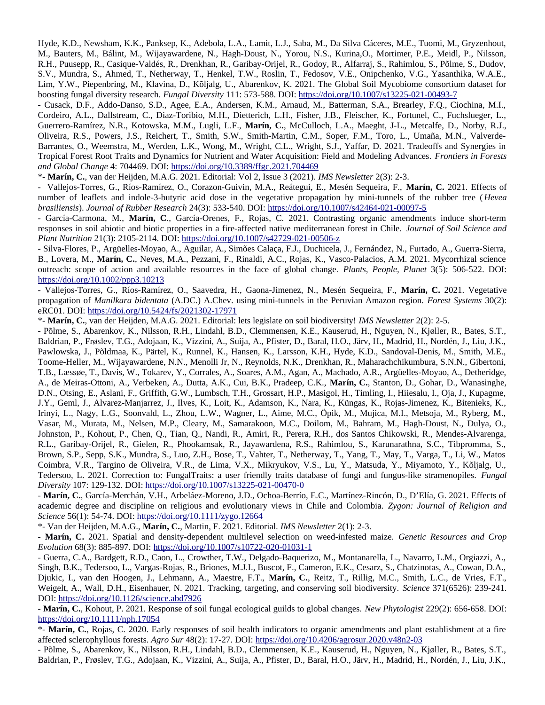.<br>Hyde, K.D., Newsham, K.K., Panksep, K., Adebola, L.A., Lamit, L.J., Saba, M., Da Silva Cáceres, M.E., Tuomi, M., Gryzenhout, M., Bauters, M., Balint, M., Wijayawardene, N., Hagh-Doust, N., Yorou, N.S., Kurma,O., Mortimer, P.E., Meldi, P., Nilsson, Hyde, R.D., Newshain, R.R., Paliksep, R., Adebola, L.A., Lamit, L.J., Saba, M., Da Silva Caceres, M.E., Tuomi, M., Gryzemout, R.H., Puusepp, R., Casique-Valdes, R., Drenkhan, R., Garibay-Orijei, R., Godoy, R., Allarraj, S., Rahlmiou, S., Polme, S., Dudov, 5.V., Mundra, S., Anmed, T., Netherway, T., Henkel, T.W., Roslin, T., Fedosov, V.E., Onipchenko, V.G., Yasanthika, W.A.E., Lim, Y.W., Piepenbring, M., Klavina, D., Koijaig, U., Abarenkov, K. 2021. The Global Soli Mycobiome consortium dataset for S.V., Mundra, S., Anmed, 1., Netherway, 1., Henkel, 1.W., Roslin, 1., Fedosov, V.E., Onipchenko, V.G., Yasanthika, W.A.E.,<br>Lim, Y.W., Piepenbring, M., Klavina, D., Kõljalg, U., Abarenkov, K. 2021. The Global Soil Mycobiome

- Cusack, D.F., Addo-Danso, S.D., Agee, E.A., Andersen, K.M., Arnaud, M., Batterman, S.A., Breariey, F.Q., Clochina, M.I., Cordeiro, A.L., Dalistream, C., Diaz-Toribio, M.H., Dietterich, L.H., Fisher, J.B., Fielscher, K., Fortunei, C., Fuchslueger, L., - Cusack, D.F., Addo-Danso, S.D., Agee, E.A., Andersen, K.M., Arnaud, M., Batterman, S.A., Brearley, F.Q., Clocnina, M.I.,<br>Cordeiro, A.L., Dallstream, C., Diaz-Toribio, M.H., Dietterich, L.H., Fisher, J.B., Fleischer, K., Barrantes, O., Weemstra, M., Werden, L.K., Wong, M., Wright, C.L., Wright, S.J., Yaffar, D. 2021. Tradeoffs and Synergies in Oliveira, R.S., Powers, J.S., Reichert, T., Smith, S.W., Smith-Martin, C.M., Soper, F.M., Toro, L., Umaña, M.N., Valverde-*Frontiers in Forests Barrantes, O., Weemstra, M., Werden, L.K., Wong, M., Wright, C.L., Wrign*<br>Tropical Forest Root Traits and Dynamics for Nutrient and Water Acquisition:<br>*and Global Change* 4: 704469. DOI: <u>https://doi.org/10.3389/ffgc.2021</u>  $11$ opical Forest Root Traits and Dynamics for Nutrient and Water Acquisition: Field and Modeling Adv<br>*d Global Change 4*: 704469. DOI: <u>https://doi.org/10.3389/ffgc.2021.704469</u><br>**Marín, C.**, van der Heijden, M.A.G. 2021. Edit ana Giobar Change 4: 704469. DOI: <u>https://doi.org/10.3389/11gc.2021.704469</u><br>Corazon-Guivin, M.A., Readant Sequence of P., M.A., Readant Sequeira, F., M.A., M.

 $\sim$  **Marin, C.**, van der Heijden, M.A.G. 2021. Editorial: Vol 2, Issue 3 (2021). *IMS Newsletter* 2(3): 2-3.

- Vallejos-Torres, G., Ríos-Ramírez, O., Corazon-Guivin, M.A., Reátegui, E., Mesén Sequeira, F., Marín, C. 2021. Effects of number of leaflets and indole-3-butyric acid dose in the vegetative propagation by mini-tunnels of the rubber tree (*Hevea*) *brasiliensis*). *Journal of Rubber Research* 24(3): 533-540. DOI: https://doi.org/10.1007/s42464-021-00097-5<br>*brasiliensis*). *Journal of Rubber Research* 24(3): 533-540. DOI: <u>https://doi.org/10.1007/s42464-021-00097-5</u>

- García-Carmona, M., **Marín, C**., García-Orenes, F., Rojas, C. 2021. Contrasting organic amendments induce short-term *Journal of Soil Science and Plantia-Carmona, M., Marin, C., Garcia-Orenes, F., Rojas, C. 2021. Contras*<br>*Plant Nutrition 21*(3): 2105-2114. DOI: <u>https://doi.org/10.1007/s42729-021-00506-z</u> responses in son abiouc and biouc properues in a fire-affected native mediterranean forest in Chile. Journal of Soli Science and Plant Nutrition 21(3): 2105-2114. DOI: https://doi.org/10.1007/s42729-021-00506-z

- Silva-Flores, P., Arguelles-Moyao, A., Aguilar, A., Simoes Calaça, F.J., Duchicela, J., Fernandez, N., Furtado, A., Guerra-Sierra, 11(3): 2105-2114. DOI: <u>https://doi.org/10.100//s42/29-021-00506-2</u><br>., Argüelles-Moyao, A., Aguilar, A., Simões Calaça, F.J., Duchicela, J., Fernández, N., Furtado, A., Guerra-Sierra,<br>**Marín, C.**, Neves, M.A., Pezzani, F., *J., Fernandez, N., Furtado, A., Guerra-Sierra,*<br>co-Palacios, A.M. 2021. Mycorrhizal science<br>*Plants, People, Planet* 3(5): 506-522. DOI: B., Lovera, M., M**arin, C.**, Neves,  $\frac{\text{ntips://doi.org/10.1002/ppp3.10213}}{2}$ outreach: scope of action and available resources in the face of global change. Plants, People, Planet 3(5): 506-522. DOI: **Marín, C.** 2021. Vegetative

0.1002/ppp3.10213<br>es, G., Ríos-Ramírez, O., Saavedra, H., Gaona-Jimenez, N., Mesén Sequeira, F., **Marín, C.** 2021. Vegetative<br>*Manilkara bidentata* (A.DC.) A.Chev. using mini-tunnels in the Peruvian Amazon region. *Forest* e Vallejos-Torres, G., Rios-Ramirez, O., Saavedra, H - Põlme, S., Abarenkov, <u>R.H., 1998, Abarenkov, K., Nilsson, R.H., Nilsson, N., Nilsson, N., R., Bates, S.T., Bates, S.T., R., Abarenkov, N., Bates, S.T., Bates, S.T., Bates, S.T., Bates, S.T., Bates, S.T., Bates, S.T., Ba</u> propagation of *Manilkara bidentata* (A.DC.) A.Chev. using mini-tunnels in the Peruvian Amazon region. *Forest Systems* 30(2): propagation of *Manlikara bidentala* (A.DC.) A.Chev. using mini-tunnels in the Peruvian Amazon region. *Forest systems* 30(2):<br>eRC01. DOI: <u>https://doi.org/10.5424/fs/2021302-17971</u><br>\***- Marín, C.**, van der Heijden, M.A.G.

- Poline, S., Abarenkov, K., Nilsson, K.H., Lindani, B.D., Clemmensen, K.E., Kauserud, H., Nguyen, N., Kjøller, K., Bates, S.T., Baldrian, P., Frøslev, T.G., Adojaan, K., Vizzini, A., Suja, A., Pilster, D., Barai, H.O., Jarv, H., Madrid, H., Norden, J., Liu, J.K., Pawiowski, J., Poldina, K., Partei, K., Runnei, K., Hansen, K., Larsson, K.H., Hyde, K.D., Sandovai-Denis, M., Smith, M.E.,<br>T Toome-Heller, M., Wijayawardene, N.N., Menolli Jr, N., Reynolds, N.K., Drenkhan, R., Manarachchikumbura, S.N.N., Gibertoni, 100me-Hener, M., Wijayawardene, N.N., Menom Jr, N., Reynolds, N.R., Drenkhan, R., Maharachchikumbura, S.N.N., Gibertoni,<br>T.B., Læssøe, T., Davis, W., Tokarev, Y., Corrales, A., Soares, A.M., Agan, A., Machado, A.R., Argüel D.N., Otsing, E., Asiani, F., Griffith, G.W., Lumbsch, T.H., Grossart, H.P., Masigol, H., Timiling, I., Hilesaiu, I., Oja, J., Kupagme, A., de Meiras-Ottoni, A., Verbeken, A., Dutta, A.K., Cui, B.K., Pradeep, C.K., Marín, C., Stanton, D., Gohar, D., Wanasinghe, J. Y., Gemi, J., Alvarez-Manjarrez, J., Ilves, K., Loit, K., Adamson, K., Nara, K., Kungas, K., Kojas-Jimenez, K., Bitenieks, K., Innyi, L., Nagy, L.G., Soonvald, L., Zhou, L.W., Wagner, L., Alme, M.C., Opik, M., Mujica, M.I., Metsoja, M., Ryberg, M.,<br>\*\* Vasar, M., Murata, M., Neisen, M.P., Cleary, M., Samarakoon, M.C., Donom, M., Banram, M., Hagn-Doust, N., Dulya, O., Johnston, P., Konout, P., Chen, Q., Tian, Q., Nahui, R., Amiri, R., Perera, R.H., dos Santos Chikowski, R., Mendes-Alvarenga, R.L., Garibay-Orijei, R., Gielen, R., Phookamsak, R., Jayawardena, R.S., Rahilmou, S., Karuharatinna, S.C., Hopromma, S., Brown, S.P., Sepp, S.K., Mundra, S., Luo, Z.H., Bose, 1., Vanier, 1., Neuferway, 1., Yang, 1., May, 1., Varga, 1., Li, W., Matos Coimbra, V.R., Targino de Oliveira, V.R., de Lima, V.X., Mikryukov, V.S., Lu, Y., Matsuda, Y., Miyamoto, Y., Kõljalg, U., Tedersoo, L. 2021. Correction to: FungalTraits: a user friendly traits database of fungi and fungus-like stramenopiles. *Fungal* Colmbra, V.R., Targino de Oliveira, V.R., de Lima, V.X., Mikryukov, V.S., Lu, Y., Matsuda, Tedersoo, L. 2021. Correction to: FungalTraits: a user friendly traits database of fungi and fun<br>Diversity 107: 129-132. DOI: <u>http</u>

**Marín, C.**, García-Merchán, V.H., Arbeláez-Moreno, J.D., Ochoa-Berrío, E.C., Martínez-Rincón, D., D'Elía, G. 2021. Effects of *Zygon: Journal of Religion and Science Bourgon, Garcia-Merchan, V.H., Arbeiaez-Moreno, J.D., O*<br>academic degree and discipline on religious and evolutionar<br>Science 56(1): 54-74. DOI: <u>https://doi.org/10.1111/zygo.12664</u> academic degree and discipi Science 56(1): 54-74. DOI: https://doi.org/10.1111/zygo.12664

**Marín, C.**, Martin, F. 2021. Editorial. *IMS Newsletter* 2(1): 2-3.

**Marín, C.** 2021. Spatia[l and density-dependent multilevel](https://doi.org/10.1111/zygo.12664) selection on weed-infested maize. *Genetic Resources and Crop F* - Van der Herjden, M.A.G., **Marin, C.**, Martin, F. 2021. Editorial. *IMS New*<br>- **Marín, C.** 2021. Spatial and density-dependent multilevel selection on<br>*Evolution* 68(3): 885-897. DOI: <u>https://doi.org/10.1007/s10722-0</u> - Marin, C. 2021. Spatial and density-dependent militievel selection on weed-infested malze. Genetic resources and Crop

*Evolution* 68(3): 885-897. DOI: <u>https://doi.org/10.1007/810722-020-01031-1</u><br>- Guerra, C.A., Bardgett, R.D., Caon, L., Crowther, T.W., Delgado-Baquerizo, M., Montanarella, L., Navarro, L.M., Orgiazzi, A., - Guerra, C.A., Barugeu, R.D., Caon, L., Crowiner, T.W., Deigac - Guerra, C.A., Barugett, R.D., Caon, L., Crowther, T.W., Deigado-Baquerizo, M., Montaharella, L., Navarro, L.M., Orgiazzi, A.,<br>Singh, B.K., Tedersoo, L., Vargas-Rojas, R., Briones, M.J.I., Buscot, F., Cameron, E.K., Cesar natzmotas, A., Cowan, D.A.,<br>Smith, L.C., de Vries, F.T.,<br>*Science* 371(6526): 239-241. DJUKIC, I., Van den Hoogen, J., Lenmann, *P* but: https://doi.org/10.1126/science.abd/926 Weigelt, A., Wall, D.H., Eisenhauer, N. 2021. Tracking, targeting, and conserving soil biodiversity. Science 371(6526): 239-241. Weigelt, A., Wall, D.H., Elsenhauer, N. 2021. Tracking, targeting, and conserving soll blodiversity. *Science 3*/1(6526): 239-241.<br>DOI: <u>https://doi.org/10.1126/science.abd7926</u><br>- **Marín, C.**, Kohout, P. 2021. Response of

 $\frac{\text{nups}}{2}$ .  $\frac{\text{nups}}{2}$ .  $\frac{\text{nups}}{2}$ .  $\frac{\text{nups}}{2}$ .  $\frac{\text{nups}}{2}$ .  $\frac{\text{nups}}{2}$ .  $\frac{\text{nups}}{2}$ .  $\frac{\text{nups}}{2}$ .  $\frac{\text{nups}}{2}$ .  $\frac{\text{nups}}{2}$ .  $\frac{\text{nups}}{2}$ .  $\frac{\text{nups}}{2}$ .  $\frac{\text{nups}}{2}$ .  $\frac{\text{nups}}{2}$ .  $\frac{\text{nups}}{2}$ .  $\frac{\text{nups}}{2}$ - **Marin, C.**, Konout, P. 2021. Response of soft fungal ecological guitas to global changes. *New Phytologist 229*(2): 656-658. DOI:<br>https://doi.org/10.1111/nph.17054<br>**\*- Marín, C.**, Rojas, C. 2020. Early responses of soil

<u>nttps://dof.org/10.1111/npn.1/054</u><br>\*- **Marín, C.**, Rojas, C. 2020. Early responses of soil health indicators to organic amendments and plant establishment at a fire<br>affected sclerophyllous forests. *Agro Sur* 48(2): 17-27

- Põlme, S., Abarenkov, K., Nilsson, R.H., Lindahl, B.D., Clemmensen, K.E., Kauserud, H., Nguyen, N., Kjøller, R., Bates, S.T., Baldrian, P., Frøslev, T.G., Adojaan, K., Vizzini, A., Suija, A., Pfister, D., Baral, H.O., Järv, H., Madrid, H., Nordén, J., Liu, J.K.,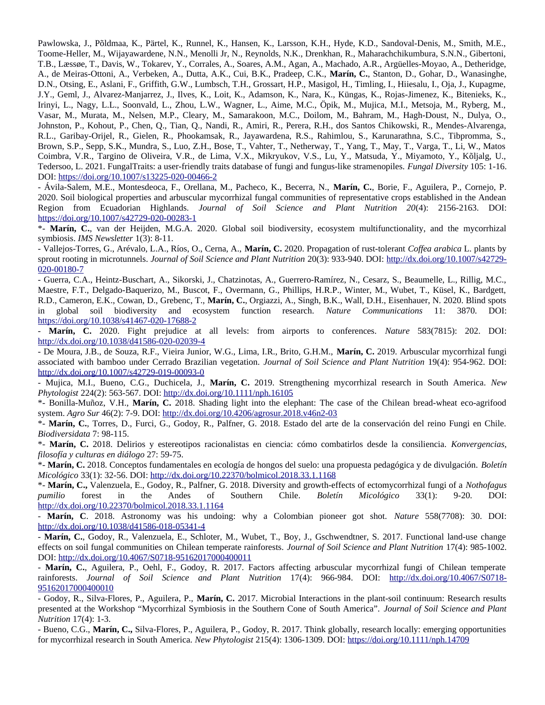.<br>Pawlowska, J., Põldmaa, K., Pärtel, K., Runnel, K., Hansen, K., Larsson, K.H., Hyde, K.D., Sandoval-Denis, M., Smith, M.E., Toome-Heller, M., Wijayawardene, N.N., Menolli Jr, N., Reynolds, N.K., Drenkhan, R., Manarachchikumbura, S.N.N., Gibertoni, Pawiowski, J., Poldinai, K., Partei, K., Runnei, K., Hansen, K., Larsson, K.H., Hyde, K.D., Sandovai-Denis, M., Smith, M.E.,<br>T 1.B., Læssøe, T., Davis, W., Tokarev, Y., Corraies, A., Soares, A.M., Agan, A., Machado, A.R., Arguelles-Moyao, A., Deulerloge, Toome-Hener, M., Wijayawardene, N.N., Menoili Jr, N., Reynolds, N.K., Drenkhan, R., Manarachchikumbura, S.N.N., Gibertoni,<br>T.B., Læssøe, T., Davis, W., Tokarev, Y., Corrales, A., Soares, A.M., Agan, A., Machado, A.R., Argü D.N., Otsing, E., Asiani, F., Griffith, G.W., Lumbsch, T.H., Grossart, H.P., Masigol, H., Timiling, I., Hilesaiu, I., Oja, J., Kupagme, J. Y., Gemi, J., Alvarez-Manjarrez, J., Ilves, K., Lolt, K., Adamson, K., Nara, K., Kungas, K., Rojas-Jimenez, K., Bitemeks, K., Johnst, P., Nagy, L.L., Soonvald, L., Zhou, L.W., Wagner, L., Alme, M.C., Opik, M., Mujica, M.I., Metsoja, M., Kyberg, M.,<br>\*\* Vasar, M., Murata, M., Neisen, M.P., Cleary, M., Samarakoon, M.C., Donom, M., Banram, M., Hagn-Doust, N., Dulya, O., Johnston, P., Konout, P., Chen, Q., Tian, Q., Nahui, R., Amiri, R., Perera, R.H., dos Santos Chikowski, R., Mendes-Alvarenga, R.L., Garibay-Orijei, R., Gielen, R., Phookamsak, R., Jayawardena, R.S., Rahilmou, S., Karuharatinna, S.C., Hopromma, S., Brown, S.P., Sepp, S.K., Mundra, S., Luo, Z.H., Bose, T., Vanier, T., Netherway, T., Yang, T., Way, T., Varga, T., Li, W., Matos ., varga, 1., Li, w., Matos<br>Miyamoto, Y., Kõljalg, U.,<br>*Fungal Diversity* 105: 1-16. Colmora, v.r., Targino de Oliveira, v.r., de Li DOI: https://doi.org/10.1007/s13225-020-00466-2 Tedersoo, L. 2021. FungalTraits: a user-friendly traits database of fungi and fungus-like stramenopiles. Fungal Diversity 105: 1-16. Tedersoo, L. 2021. Fungal Frans: a user-friendly trans database of fungi and fungus-fike stramenophes. *Fungal Diversity* 105: 1-16.<br>DOI: <u>https://doi.org/10.1007/s13225-020-00466-2</u><br>- Ávila-Salem, M.E., Montesdeoca, F., O

2020. Soil biological properties and arbuscular mycormizal fungal communities of representative crops established in the Andean - Aviia-Salem, M.E., Montesdeoca, F., Orella<br>2020 - California Highlands. *AVIIa-Salem, M.E., Montesdeoca, F., Orellana, M., Pacheco, K., Becerra, N., Marin, C., Borle, F., Agullera, P., Cornejo, P.*<br>2020. Soil biological properties and arbuscular mycorrhizal fungal communities of representative <u>mups://doi.org/10.100//s42/29-020-00263-1</u> 310n from Ecuadorian Highlands. J*ournal of Soil Science and Piant Nutrition 20*(4): 2156-2163. DOI:<br>10. <u>St//doi.org/10.1007/s42729-020-00283-1</u><br>**Marín, C.**[, van der Heijden, M.G.A.](https://doi.org/10.1007/s42729-020-00283-1) 2020. Global soil biodiversity, ecosyst

*IFg*/10.100//842/29-020-00<br>**C.**, van der Heijden, M<br>*IMS Newsletter* 1(3): 8-11. <sup>-</sup> **Marin, C.**, Van der Heljden, M.G.A. 2020. Giova **Marín, C.** 2020. Propagation of rust-tolerant *Coffea arabica* L. plants by symbiosis. IMS Newsletter 1(3): 8-11.

: ช-11.<br>L.A., Ríos, O., Cerna, A., **Marín, C.** 2020. Propagation of rust-tolerant *Coffea arabica* L. plants by<br>Journal of Soil Science and Plant Nutrition 20(3): 933-940. DOI: <u>http://dx.doi.org/10.1007/s42729-</u> - vallejos-10 020-00180-7 sprout rooting in microtunnels. Journal of Soil Science and Plant Nutrition 20(3): 933-940. DOI: http://dx.doi.org/10.1007/s42729-

<u>020-00180-7</u><br>- Guerra, C.A., Heintz-Buschart, A., Sikorski, J., Chatzinotas, A., Guerrero-Ramírez, N., Cesarz, S., Beaumelle, L., Rillig, M.C., - Guerra, C.A., Heintz-Buschart, A., Sikorski, - Guerra, C.A., Heintz-Buschart, A., Sikorski, J., Chatzinotas, A., Guerrero-Ramirez, N., Cesarz, S., Beaumeile, L., Rillig, M.C.,<br>Maestre, F.T., Delgado-Baquerizo, M., Buscot, F., Overmann, G., Phillips, H.R.P., Winter, M *X.P.*, Winter, M., Wubet, 1., Kusel, K., Bardgett,<br>3.K., Wall, D.H., Eisenhauer, N. 2020. Blind spots<br>*Nature Communications* 11: 3870. DOI: k.d., Cameron, E.K., Cowan, D., Grebenc,<br>. in giooal soil biodiversity and e<br>https://doi.org/10.1038/s41467-020-17688-2 m giobal soli biodiversity and ecosystem function research. *Nature Communications* 11: 3870. DOI:<br>https://doi.org/10.1038/s41467-020-17688-2<br>- **Marín, C.** 2020. Fight prejudice at all levels: from airports to conferences.  $\frac{\text{mups} / \text{001.0rg} / \text{10.1038}}{2}$ 

<u>mup://ux.uoi.org/10.1038/u41586-020-02039-4</u> omerences. *Nature 5*83(7815): 202. DOI:<br>**Marín, C.** 2019. Arbuscular mycorrhizal fungi

*Journal of Soil Science and Plant Nutrition* 19(4): 954-962. DOI: - De Moura, J.B., de Souza, R.F., Vieira Junio associated with bamboo under Cerrado Brazilian vegetation. Journal of Soil Science and Plant Nutrition 19(4): 954-962. DOI: http://dx.doi.org/10.1007/s42729-019-00093-0 **Marín, C.** 2019. Strengthening mycorrhizal research in South America. *New*

<u>nttp://dx.doi.org/10.100//s42/29-019-00093-0</u><br>- Mujica, M.I., Bueno, C.G., Duchicela, J., **Marín, C.** 2019. Strei<br>*Phytologist* 224(2): 563-567. DOI: <u>http://dx.doi.org/10.1111/nph.16105</u> - Mujica, M.I., Bueno, C.<br>D ..G., Duchicela, J., **Marin, C.** 2019. Strengthening mycorrhizal research in South America. *INew*<br>7. DOI: <u>http://dx.doi.org/10.1111/nph.16105</u><br>**Marín, C.** 2018. Shading light into the elephant: The case of the Chilean br Phytologist 224(2): 563-567. DOI: http://dx.doi.org/10.1111/nph.16105

*Agromet 224(2): 563-567. DOI: <u>http://dx.doi.org/10.1111/hph.16105</u><br>|la-Muñoz, V.H., Marín, C. 2018. Shading light into the elephant: The<br><i>Agro Sur 4*6(2): 7-9. DOI: <u>http://dx.doi.org/10.4206/agrosur.2018.v46n2-03</u> \*- Bonina-Munoz, V.H., **Marín, C.** 2018. Snading fight into the elephant: The case of the Chilean bread-wheat eco-agrifood<br>tem. Agro Sur 46(2): 7-9. DOI: <u>http://dx.doi.org/10.4206/agrosur.2018.v46n2-03</u><br>**Marín, C.**, Torres,

system. *Agro Sur 4*6(2): /<br>**\*- Marín, C.**, Torres, D.<br>*Biodiversidata 7*: 98-115.  $\frac{N}{n}$ **Marín, C.**, Torres, D., Furci, G., Godoy, R., Palmer, G. 2018. Estado del arte de la conservación del reino Fungi en Chile.<br>Biodiversidata 7: 98-115.<br>**\*- Marín, C.** 2018. Delirios y estereotipos racionalistas en ciencia:

*Fiodiversidata 7: 98-115.*<br>**\*- Marín, C.** 2018. Delirios y estereot<br>*filosofía y culturas en diálogo* 27: 59-75. **Marín, C.** 2018. Definos y estereotipos racionalistas en ciencia: como combatinos desde la consiliencia. *Konvergencias,*<br>*filosofía y culturas en diálogo* 27: 59-75.<br>**\*- Marín, C.** 2018. Conceptos fundamentales en ecolog

*Micológico* 33(1): 32-56. DOI: http://dx.doi.org/10.22370/bolmicol.2018.33.1.1168 **Marin, C.** 2018. Conceptos fundamentales en ecologia de nongos del suelo: una propuesta pedagogica y de divulgación. *Boletin*<br>*icológico* 33(1): 32-56. DOI: <u>http://dx.doi.org/10.22370/bolmicol.2018.33.1.1168</u><br>**Marín, C.** 

*purcologico* 33(1): 32-56. DOI: <u>http://dx.doi.org/10.22370/bolmicol.2016.33.1.1166</u><br>\*- **Marín, C.,** Valenzuela, E., Godoy, R., Palfner, G. 2018. Diversity and growth-effects of ectomycorrhizal fungi of a *Nothofagus*<br>pum <sup>\*</sup>- Marin, C., Valenzuela, E., Godoy, R., Palfner, C <u>http://dx.doi.org/10.223/0/boimicol.2018.33.1.1164</u> pumilio *Marinio* forest in the Andes of Southern Chile. *Boletín Micológico* 33(1): 9-20. DOI:<br>
<u>tp://dx.doi.org/10.22370/bolmicol.2018.33.1.1164</u><br> **Marín, C**. 2018. Astronomy was his undoing: why a Colombian pioneer got shot. *N* 

- 1<br>. **Marin, C.**, 2018. Astronomy was his undoing: why a Colombian pioneer got shot. *Nature 556(7708): 30. DOI:*<br>tp://dx.doi.org/10.1038/d41586-018-05341-4<br>**Marín, C.**, Godoy, R., Valenzuela, E., Schloter, M., Wubet, T., Boy, [effects on soil fungal communities on Chilean](http://dx.doi.org/10.1038/d41586-018-05341-4) temperate rainforests.

*Journal of Soil Science and Plant Nutrition* 17(4): 985-1002. - Marin, C., Godoy, R., Valenzuela, E., Schloler, M., Wl <u>bol: http://dx.doi.org/10.406//50/18-9516201/000400011</u> effects on soil fungal communities on Chilean temperate rainforests. Journal of Soil Science and Plant Nutrition 17(4): 985-1002. rects on son fungal communities on Chilean temperate rainforests. Journal of Son Science and Plant Nutrition 17(4): 985-1002.<br>OI: <u>http://dx.doi.org/10.4067/S0718-95162017000400011</u><br>**Marín, C.**, Aguilera, P., Oehl, F., God

*Journal of Soil Science and Plant Nutrition* 17(4): 966-984. DOI: http://dx.doi.org/10.4067/S0718- - Marin, C., Agune 95162017000400010 rainforests. Journal of Soil Science and Plant Nutrition 17(4): 966-984. DOI: http://dx.doi.org/10.4067/S0718rainforests. Journal of Soil Science and Piant Nutrition 1/(4): 966-964. DOI: <u>http://dx.doi.org/10.406//S0/16-</u><br><u>95162017000400010</u><br>- Godoy, R., Silva-Flores, P., Aguilera, P., **Marín, C.** 2017. Microbial Interactions in

presented at the Workshop "Mycorrhizal Symbiosis in the Southern Cone of South America". *Journal of Soil Science and Plant*<br>- West the 2700 1.2 *Nutrition* 17(4): 1-3.

presented at the workshop Mycorrhizal Symbiosis in the Southern Cone of South America *. Journal of Solt Science and Plant*<br>Nutrition 17(4): 1-3.<br>- Bueno, C.G., **Marín, C.,** Silva-Flores, P., Aguilera, P., Godoy, R. 2017.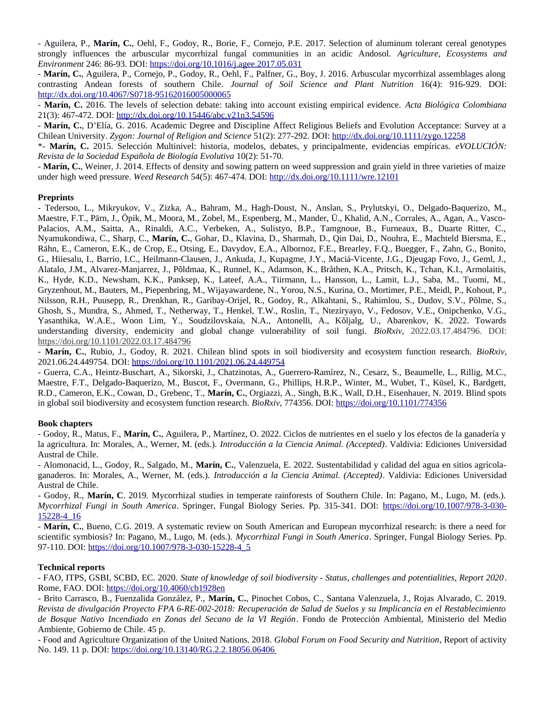- Aguilera, P., **Marín, C.**, Oehl, F., Godoy, R., Borie, F., Cornejo, P.E. 2017. Selection of aluminum tolerant cereal genotypes *Agriculture, Ecosystems and Environment* 246: 86-93. Dollingthe *F.*, Godoy, R., Borle, F., Cornejo, P.E.<br>*Environment* 246: 86-93. DOI: <u>https://doi.org/10.1016/j.agee.2017.05.031</u>  $\frac{1}{1}$ rongly influences the arbuscular mycormizal fungal communities in an actuic Andosof. *Agriculture, Ecosystems and*<br>nvironment 246: 86-93. DOI: <u>https://doi.org/10.1016/j.agee.2017.05.031</u><br>**Marín, C.**, Aguilera, P., Cornejo Environment 246: 86-93. DOI: https://doi.org/10.1016/j.agee.2017.05.031

*J. Jagee. 2017. 05.031*<br>Phl, F., Palfner, G., Boy, J. 2016. Arbuscular mycorrhizal assemblages along<br>Journal of Soil Science and Plant Nutrition 16(4): 916-929. DOI: - **Marin, C.**, Aguilera, P., Cornejo, P., Godoy, R., Oe <u>nup://dx.doi.org/10.406//S0/16-95162016005000005</u><br>- A*FC.doi.* Closef C.Thr.doi.org/ contrasting Andean forests of southern Chile. Journal of Soil Science and Plant Nutrition 16(4): 916-929. DOI: **CONTERT EXECUTE:** Martia and the selection of sournal of soll science and Plant Nutrition 16(4): 916-929. DOI:<br>http://dx.doi.org/10.4067/S0718-95162016005000065<br>- **Marín, C.** 2016. The levels of selection debate: taking i

21(3): 407-472. DOI: <u>http://dx.doi.org/10.15446/adc.v21h3.54596</u> **Marin, C.** 2016. The levels of selection debate: taking into account existing empirical evidence. *Acta Biologica Colombiand*<br>1(3): 467-472. DOI: <u>http://dx.doi.org/10.15446/abc.v21n3.54596</u><br>**Marín, C.**, D'Elía, G. 2016.

1: <u>http://dx.doi.org/10.15446/abc.vz1n3.54596</u><br>i, G. 2016. Academic Degree and Discipline Affect Religious Beliefs and Evolution Acceptance: 3<br>Zygon: Journal of Religion and Science 51(2): 277-292. DOI: <u>http://dx.doi.org</u> \*- IVI.<br>-- 11 **Marín, C.**, D Ena, G. 2016. Academic Degree and Discipline Affect Rengious Beners and Evolution Acceptance: Survey at a<br>ilean University. Zygon: Journal of Religion and Science 51(2): 277-292. DOI: <u>http://dx.doi.org/10.1</u>

Chilean University*. Zygon: Journal of Religion and Science* 51(2): 2<br>**\*- Marín, C.** 2015. Selección Multinivel: historia, modelos, deb<br>*Revista de la Sociedad Española de Biología Evolutiva* 10(2): 51-70. -<br>-Revista de la Sociedad Española de Biología Evolutiva 10(2): 51-70.

**Marín, C.**, Weiner, J. 2014. Effects of density and sowing pattern on weed suppression and grain yield in three varieties of maize *Weed Research* 54(5): 467-474. DOI: http://dx.doi.org/10.1111/wre.12101

### **Preprints**  $\mathbf{L}$ , Mikryukov, V., Zizka, A., Bahram, M., Hagh-Doust, N., Anslan, S., Prylutskyi, O., Delgado-Baquerizo, M., Anslan, S., Prylutskyi, O., Delgadorff, N., Delgado-Baquerizo, M., Delgadorff, O., Delgado-Baquerizo, M.,

**Freprints**<br>- Tedersoo, L., Mikryukov, V., Zizka, A., Bahram, M., Hagh-Doust, N., Anslan, S., Prylutskyi, O., Delgado-Baquerizo, M., - Tedersoo, L., Mikryukov, V., Zizka, A., Bahram, M., Hagh-Doust, N., Ansian, S., Prylutskyi, O., Deigado-Baquerizo, M.,<br>-Maestre, F.T., Pärn, J., Öpik, M., Moora, M., Zobel, M., Espenberg, M., Mander, Ü., Khalid, A.N., Corrales, A., Agan, A., Vascoмаеѕие, ғ.т., ғатп, л., Орік, м., мюога, м., zobei, м., Espenberg, м., мапαеr, U., Knand, A.N., Corrates, A., Agan, A., Vasco-<br>Palacios, A.M., Saitta, A., Rinaldi, A.C., Verbeken, A., Sulistyo, B.P., Tamgnoue, B., Furneau Raini, E., Cameron, E.K., de Crop, E., Otsing, E., Davydov, E.A., Albornoz, F.E., Brearley, F.Q., Buegger, F., Zann, G., Bonito,<br>K.I., Y. Nyamukondiwa, C., Sharp, C., Marín, C., Gohar, D., Klavina, D., Sharmah, D., Qin Dai, D., Nouhra, E., Machteld Biersma, E., G., Hilesalu, I., Barrio, I.C., Heilmann-Clausen, J., Ankuda, J., Kupagme, J. Y., Macia-Vicente, J.G., Djeugap Fovo, J., Gemi, J., Alatalo, J.M., Alvarez-Manjarrez, J., Polumaa, K., Runnel, K., Adamson, K., Bratnen, K.A., Pritsch, K., Tchan, K.I., Armolatus, K., Hyde, K.D., Newsham, K.K., Panksep, K., Lateer, A.A., Tiirmann, L., Hansson, L., Lamit, L.J., Saba, M., Tuomi, M., Gryzennout, M., Bauters, M., Piepenbring, M., Wijayawardene, N., Yorou, N.S., Kurina, O., Mortimer, P.E., Meidi, P., Konout, P.,<br>Vi Nilsson, K.H., Puusepp, K., Drehkhan, K., Garibay-Orijel, K., Godoy, K., Alkantani, S., Rahimiou, S., Dudov, S.v., Poime, S., Gilosn, S., Mundra, S., Anmed, T., Netherway, T., Henkel, T.W., Rosilli, T., Nteziryayo, V., Fedosov, V.E., Ompchenko, V.G.,<br>\*\* ., Fedosov, V.E., Ompchenko, V.G.,<br>J., Abarenkov, K. 2022. Towards<br>*BioRxiv*, 2022.03.17.484796. DOI:  $r$  asanthika,  $w.A.E.,$   $w$  oon  $L$ im,  $r.,$ https://doi.org/10.1101/2022.03.17.484796 understanding diversity, endemicity and global change vulnerability of soil fungi. BioRxiv, 2022.03.17.484796. DOI: rderstanding diversity, endemicity and global change vulnerability of soil fungl. *BioRxiv*, 2022.03.17.464796. DOE<br>tps://doi.org/10.1101/2022.03.17.484796<br>**Marín, C.**, Rubio, J., Godoy, R. 2021. Chilean blind spots in soi  $\frac{\text{mups}}{25.7}$ .  $\frac{2001.0 \text{rg}}{10.1}$   $\frac{101}{2022.03.1}$ .  $\frac{2001.954}{20.2934}$ 

2021.06.24.449754. DOI: https://doi.org/10.1101/2021.06.24.449754 - **Marin, C.**, Rubio, J., Godoy, R. 2021. Chilean bilita spots in son biodiversity and ecosystem function research. *Blorxiv*,

2021.06.24.449/54. DOI: <u>https://doi.org/10.1101/2021.06.24.449/54</u><br>- Guerra, C.A., Heintz-Buschart, A., Sikorski, J., Chatzinotas, A., Guerrero-Ramírez, N., Cesarz, S., Beaumelle, L., Rillig, M.C., - Guerra, C.A., Heintz-Buschart, A., Sikorski,<br>D.C. D.T. D.J. D.J. D.J. D.J. D.J. D. - Guerra, C.A., Heintz-Buschart, A., Sikorski, J., Chatzinotas, A., Guerrero-Ramirez, N., Cesarz, S., Beaumene, L., Rinig, M.C.,<br>Maestre, F.T., Delgado-Baquerizo, M., Buscot, F., Overmann, G., Phillips, H.R.P., Winter, M., R.D., Cameron, E.K., Cowan, D., Grebenc, T., **Marín, C.**, Orgiazzi, A., Singh, B.K., Wall, D.H., Eisenhauer, N. 2019. Blind spots in global soil biodiversity and ecosystem function research. *BioRxiv*, 774356. DOI: https:/

# **Book chapters** - Godoy, R., Matus, F.,

**Book chapters**<br>- Godoy, R., Matus, F.<mark>, Marín, C.,</mark> Aguilera, P., Martínez, O. 2022. Ciclos de nutrientes en el suelo y los efectos de la ganadería y<br>la agricultura. In: Morales, A., Werner, M. (eds.). *Introducción a la* - Gouoy, R., Mali<br>. la agricultura. In: Morales, A., Werner, M. (eds.). Introducción a la Ciencia Animal. (Accepted). Valdivia: Ediciones Universidad<br>Austral de Chile.

ia agricultura, in: Morales, A., Werner, M. (eds.). *Introducción a la Clencia Animal. (Acceptea)*. Valdivia: Ediciones Universidad<br>Austral de Chile.<br>- Alomonacid, L., Godoy, R., Salgado, M., **Marín, C.**, Valenzuela, E. 20 - Alomonaciu, L Austral de Chile. ganaderos. In: Morales, A., Werner, M. (eds.). Introducción a la Ciencia Animal. (Accepted). Valdivia: Ediciones Universidad ganaderos. In: Morales, A., Werner, M. (eds.). *Introduccion a la Clencia Animal. (Acceptea)*. Valdivia: Ediciones Universidad<br>Austral de Chile.<br>- Godoy, R., **Marín, C**. 2019. Mycorrhizal studies in temperate rainforests o

Austral de Chile.<br>- Godoy, R., **Marín, C**. 2019. Mycorrhizal studies in temperate rainforests of Southern Chile. In: Pagano, M., Lugo, M. (eds.).<br>*Mycorrhizal Fungi in South America*. Springer, Fungal Biology Series. Pp. 3 *Mycorrhizal Fungi in South America*. Springer, Fungal Biology Series. Pp. 315-341. DOI: <u>https://doi.org/10.100//9/8-3-030-</u><br><u>15228-4 16</u><br>- **Marín, C.,** Bueno, C.G. 2019. A systematic review on South American and European

scientific symbiosis? In: Pagano, M., Lugo, M. (eds.). *[Myc](https://doi.org/10.1007/978-3-030-15228-4_5)orrhizal Fungi in South America*. Springer, Fungal Biology Series. Pp. 97-110. DOI: https://doi.org/10.1007/978-3-030-15228-4 5  $-$  **Marin, C.**, Bueno, C.G. 2019. A systematic review on Sc

## ${\bf Technical\textbf{ reports}}$ Rome, Fao. Doi. 2006. Englace and the property of the property of the property of the property of the property of the property of the property of the property of the property of the property of the property of the property

*State of knowledge of soil biodiversity - Status, challenges and potentialities, Report 2020*. Rome, FAO. DOI: https://doi.org/10.4060/cb1928en - FAU, IIPS, GSBI, SCBD, EC. 2020. State of

- Brito Carrasco, B., Fuenzalida González, P., Marín, C., Pinochet Cobos, C., Santana Valenzuela, J., Rojas Alvarado, C. 2019. *Revista de divulgación Proyecto FPA 6-RE-002-2018: Recuperación de Salud de Suelos y su Implicancia en el Restablecimiento* Ambiente, Gobierno de Chile. 45 p. - Brito Carrasco, B., Fuenzanda Gonzalez, P., **Marin, C.**, Pinocnet Cobos, C., Santana Valenzuela, J., Rojas Alvarado, C. 2019.<br>*Revista de divulgación Proyecto FPA 6-RE-002-2018: Recuperación de Salud de Suelos y su Impli [G](https://doi.org/10.13140/RG.2.2.18056.06406)lobal Forum on Food Security and Nutrition*, Report of activity  $A$ mbienie, Gobierno de Chile. 45 p.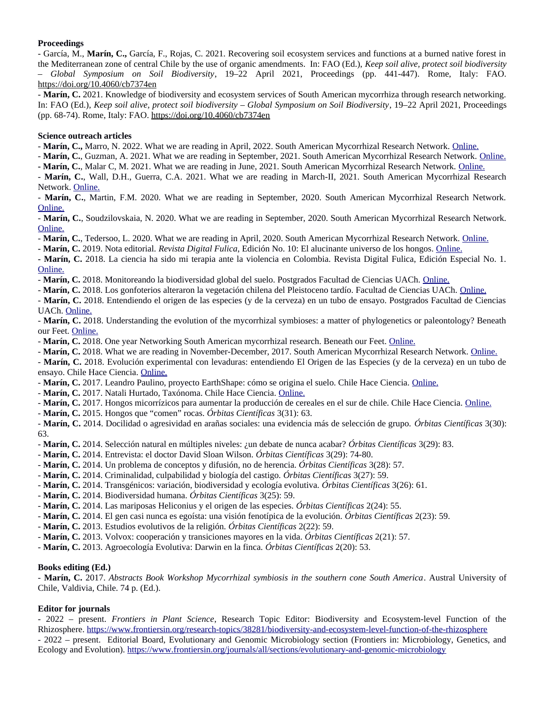# Proceedings

**Proceedings**<br>- García, M., **Marín, C.,** García, F., Rojas, C. 2021. Recovering soil ecosystem services and functions at a burned native forest in the Mediterranean zone of central Chile by the use of organic amendments. In: FAO (Ed.), *Keep soil alive, protect soil biodiversity – Global Symposium on Soil Biodiversity*, 19–22 April 2021, Proceedings (pp. 441-447). Rome, Italy: FAO. -  $\frac{\text{nltps}{1001.0 \text{rg}}}{\text{10.4060} \times \text{10.40}}$ Global Symposium on Soli Bioaiversity, 19–22 April 2021, Proceedings (pp. 441-447). Rome, Italy: FAO.<br>ttps://doi.org/10.4060/cb7374en<br>**Marín, C.** 2021. Knowledge of biodiversity and ecosystem services of South American myc

*Keep soil alive, [protect soil biodiversity – Globa](https://doi.org/10.4060/cb7374en)l Symposium on Soil Biodiversity*, 19–22 April 2021, Proceedings - Marin, C. 2021. Romedge of biodiversity and ecosystem serv (pp. 68-74). Rome, Italy: FAO. https://doi.org/10.4060/cb7374en

## **Science outreach articles** - -

**Marín, C.,** Marro, N. 2022. What we are reading in April, 2022. South American Mycorrhizal Research Network. Online.

**Marín, C., Marro, N. 2022. What we are reading in April, 2022. South American Mycorrhizal Research Network. <u>Online.</u><br><b>Marín, C.,** Guzman, A. 2021. What we are reading in September, 2021. South American Mycorrhizal Resear **- Marin, C.,** Marro, N. 2022. What we are reading in April, 2022. South American Mycorrhizal Research Network. <u>Online.</u><br>**- Marín, C.**, Guzman, A. 2021. What we are reading in September, 2021. South American Mycorrhizal R

- Marín, C., Malar C, M. 2021. What we are reading in June, 2021. South American Mycorrhizal Research Network. Online.

**Marín, C.**, Guzman, A. 2021. What we are reading in September, 2021. South American Mycorrh[izal R](https://southmycorrhizas.org/reading/june-2021/)[esearch](https://southmycorrhizas.org/reading/september-2021/) Network. <u>Online.</u><br>**- Marín, C.**, Malar C, M. 2021. What we are reading in June, 2021. South American Mycorrhizal Re Network. <u>Unline.</u> - **Marin, C.**, Wall, D.H., Guerra, C.A. 2021. What we are reading in March-II, 2021. South American Mycorrhizal Research<br>Network. <u>Online.</u><br>- **Marín, C.**[, Ma](https://southmycorrhizas.org/reading/march-ii-2021/)rtin, F.M. 2020. What we are reading in September, 2020. South Am

<u>[Online.](https://southmycorrhizas.org/reading/november-2020/)</u> [-](https://southmycorrhizas.org/reading/september-2020/) **Marin, C.**, Marun, F.M. 2020. What we are reading in September, 2020. South American Mycorrhizal Research Network.<br><u>Online.</u><br>- **Marín, C.**, Soudzilovskaia, N. 2020. What we are reading in September, 2020. South American

**Marín, C.**, Soudzhovskala, N. 2020. What we are reading in September, 2020. South American Mycorrhizal Research Netw<br>Inline.<br>**Marín, C.**, Tedersoo, L. 2020. What we are reading in April, 2020. South American Mycorrhizal R

<u>- Marín,</u> C., Tedersoo, L. 2020. What we are reading in April, 2020. South American Mycorrhizal Research Network.<br>- **Marín, C.** 2019. Nota editorial. *Revista Digital Fulica*, Edición No. 10: El alucinante universo de los

- Marín, C. 2019. Nota editorial. Revista Digital Fulica, Edición No. 10: El alucinante universo de los hongos. Online.

**- Marín, C.,** Tedersoo, L. 2020. What we are reading in Aprii, 2020. South American Mycorrhizal Research Network. <u>Online.</u><br>**- Marín, C.** 2019. Nota editorial. *Revista Digital Fulica*, Edición No. 10: El alucinante unive  $\frac{\text{Omm}}{2}$ **Marín, C.** 2018. La ciencia na sido mi terapia ante la violencia en Colombia. Revista Digital Fulica, Edición<br><u>Online.</u><br>- **Marín, C.** 2018. Monitoreando la biodiversidad global del suelo. Postgrados Facultad de Ciencias U

<u>Onime.</u><br>- **Marín, C.** 2018. Monitoreando la biodiversidad global del suelo. Postgrados Facultad de Ciencias UACh. <u>Online.</u><br>- **Marín, C.** 2018. Los gonfoterios alteraron la vegetación chilena del Pleistoceno tardío. Facul

- M**arín, C.** 2018. Monitoreando la biodiversidad global del suelo. Postgrad[os Facul](http://www.postgradociencias.uach.cl/monitoreando-la-biodiversidad-global-del-suelo/)tad de Clencias UACh. <u>Online.</u><br>- **Marín, C.** 2018. Los gonfoterios alteraron la vegetación chilena del Pleistoceno tardío. Facultad de Ci UACII. <u>UIIIIIIE.</u> **Marín, C.** 2018. Entendiendo et origen de las especies (y de la cerveza) en un tubo de ensayo. Postgrados Facultad de Clencias<br>UACh. <u>Online.</u><br>- **Marín, C.** 2018. Understanding the evolution of the mycorrhizal symbioses:

our reet. <u>Onime.</u><br>Press and the cost of the cost of the cost of the cost of the cost of the cost of the cost of the cost of the cost of the cost of the cost of the cost of the cost of the cost of the cost of the cost of t **Marín, C.** 2018. Onderstanding the evolution of the mycorrhizal symbioses: a matter of phylogenetics of our Feet. Online.<br> **Marín, C.** 2018. One year Networking South American mycorrhizal research. Beneath our Feet. <u>Onli</u>

ur reet. <u>Ontine.</u><br>**Marín, C.** [2018](http://blog.globalsoilbiodiversity.org/article/2018/04/26/understanding-evolution-mycorrhizal-symbioses-matter-phylogenetics-or). One year Networking South American mycorrhizal research. Beneath our Feet. <u>Online.</u><br>**Marín, C.** 2018. What we are reading in November-December, 2017. South American Mycorrhizal Researc

- **Marin, C.** 2018. One year Networking South American mycormizal research. Beneath our Feet. <u>Online.</u><br>- **Marín, C.** 2018. What we are reading in November-December, 2017. South American Mycorrhizal Research Network. <u>Onli</u> ensayo. Chile Hace Clencia. <u>Online.</u> - Marín, C. 2018. Evolución experimental con levaduras: entendiendo El Origen de las Especies (y de la cerveza) en un tubo de **Marín, C.** 2018. Evolución experimental con levaduras: entendiendo El Origen de las Especies (y de la cerv<br>nsayo. Chile Hace Ciencia. <u>Online.</u><br>**Marín, C.** 2017. Leandro Paulino, proyecto EarthShape: cómo se origina el su

ensayo. Chile Hace Clencia. <u>Ontine.</u><br>- **Marín, C.** 2017. Leandro Paulino, proyecto EarthShape: cómo se origina<br>- **Marín, C.** 2017. Natali Hu[rtado, T](https://chilehaceciencia.wordpress.com/contenidos/blog/evolucion-experimental-con-levaduras-entendiendo-el-origen-de-las-especies-y-de-la-cerveza-en-un-tubo-de-ensayo/)axónoma. Chile Hace Ciencia. <u>Online.</u>

- Marín, C. 2017. Natali Hurtado, Taxónoma. Chile Hace Ciencia. Online.

**Marín, C.** 2017. Leandro Paulino, proyecto EarthSnape: como se origina el suelo. Chile [Hace C](https://chilehaceciencia.wordpress.com/contenidos/entrevistas/leandro-paulino-proyecto-earthshape-como-se-origina-el-suelo/)iencia. <u>Online.</u><br>**Marín, C.** 2017. Natali Hurtado, Taxónoma. Chile Hace Ciencia. <u>Online.</u><br>**Marín, C.** 2017. Hongos micorrízico **Marín, C.** 2017. Natali Hurtado, 1 axonoma. Chile Hace Clencia. <u>Online.</u><br>**Marín, C.** 2017. Hongos micorrízicos para aumentar la producción de cerea<br>**Marín, C.** 2015. Hongos que "comen" rocas. *Órbitas Científicas* 3(31): -

**- Marín, C.** 2015. Hongos que "comen" rocas. Órbitas Científicas 3(31): 63.

- **Marín, C.** 2017. Hongos micorrízicos para aumentar la producción de cereales en el sur de chile. Chile Hace Clencia. <u>Online.</u><br>- **Marín, C.** 2015. Hongos que "comen" rocas. *Órbitas Científicas* [3\(](https://chilehaceciencia.wordpress.com/contenidos/blog/hongos-micorrizicos-para-aumentar-la-produccion-de-cereales-en-el-sur-de-chile/)31): 63.<br>- **Marín, C. Marín, C.** 2014. Docindad o agresividad en arañas sociales: una evidencia mas de selección de grupo. *Orbitas Científicas* 3(29): 83.<br>**- Marín, C.** 2014. Selección natural en múltiples niveles: ¿un debate de nunca acabar? 63.

o*s.*<br>- **Marín, C.** 2014. Selección natural en múltiples niveles: ¿un debate de nunca acabar? *Órbita*:<br>- **Marín, C.** 2014. Entrevista: el doctor David Sloan Wilson. *Órbitas Científicas* 3(29): 74-80.

**Marín, C.** 2014. Selección natural en multiples niveles: ¿un debate de hunca acabar*: Orbitas Científicas* 3(29):<br>**Marín, C.** 2014. Entrevista: el doctor David Sloan Wilson. *Órbitas Científicas* 3(29): 74-80.<br>**Marín, C. Marín, C.** 2014. Entrevista: el doctor David Sioan Wilson. *Orbitas Científicas 3*(29): 74-80.<br>**Marín, C.** 2014. Un problema de conceptos y difusión, no de herencia. *Órbitas Científicas* 3(28)<br>**Marín, C.** 2014. Criminali -

- Marín, C. 2014. Criminalidad, culpabilidad y biología del castigo. Órbitas Científicas 3(27): 59.

**Marín, C.** 2014. Un problema de conceptos y difusión, no de nerencia. *Orbitas Científicas* 3(26): 57.<br>**Marín, C.** 2014. Criminalidad, culpabilidad y biología del castigo. *Órbitas Científicas* 3(27): 59.<br>**Marín, C.** 2014 **Marín, C.** 2014. Críminandad, cuipabilidad y biológia del castigo. *Orí*<br>**Marín, C.** 2014. Transgénicos: variación, biodiversidad y ecología evo<br>**Marín, C.** 2014. Biodiversidad humana. *Órbitas Científicas* 3(25): 59. -

- Marín, C. 2014. Biodiversidad humana. Órbitas Científicas 3(25): 59.

- Marín, C. 2014. Transgenicos: variación, biodiversidad y ecológia evolutiva. *Orbitas Científicas 3*(2<br>- **Marín, C.** 2014. Biodiversidad humana. *Órbitas Científicas* 3(25): 59.<br>- **Marín, C.** 2014. Las mariposas Heliconi
- **Marín, C.** 2014. Biodiversidad numana. Or*bitas Cientificas 3*(25): 59.<br>**Marín, C.** 2014. Las mariposas Heliconius y el origen de las especies. *Órbitas Científicas* 2(24): 55.<br>**Marín, C.** 2014. El gen casi nunca es egoís **Marín, C.** 2014. Las mariposas Henconius y el origen de las especies. *Orbitas Ci*<br>**Marín, C.** 2014. El gen casi nunca es egoísta: una visión fenotípica de la evolució<br>**Marín, C.** 2013. Estudios evolutivos de la religión. -
- **Marín, C.** 2013. Estudios evolutivos de la religión. Órbitas Científicas 2(22): 59.
- **Marín, C.** 2014. El gen casi nunca es egoista: una visión fenoupica de la evolución. *Orbitas Científicas*<br>**Marín, C.** 2013. Estudios evolutivos de la religión. *Órbitas Científicas* 2(22): 59.<br>**Marín, C.** 2013. Volvox: c **Marín, C.** 2013. Estudios evolutivos de la religión. *Orbitas Clentíficas 2*(22): 59.<br>**Marín, C.** 2013. Volvox: cooperación y transiciones mayores en la vida. *Órbitas Científicas*<br>**Marín, C.** 2013. Agroecología Evolutiva
- 

## **Books editing (Ed.)** - BOOKS editing (Ed.)

**Marín, C.** 2017. *Abstracts Book Workshop Mycorrhizal symbiosis in the southern cone South America*. Austral University of Chile, Valdivia, Chile. 74 p. (Ed.).

# **Editor for journals** - 2022 – present.

*Frontiers in Plant Science*, Research Topic Editor: Biodiversity and Ecosystem-level Function of the Rhizosphere. https://www.frontiersin.org/research-topics/38281/biodiversity-and-ecosystem-level-function-of-the-rhizosphere- 2022 – present. *Frontiers in Piant Science*, Research Topic Editor: Biodiversity and Ecosystem-level Function of the <u>Ecology and Europe and Evolution (and Evolution). Https://www.frontiers.com/induction-evolution-of-me-mizosphere</u> - 2022 – present. Editorial Board, Evolutionary and Genomic Microbiology section (Frontiers in: Microbiology, Genetics, and Ecology and Evolution). https://www.frontiersin.org/journals/all/sections/evolutionary-and-genomic-microbiology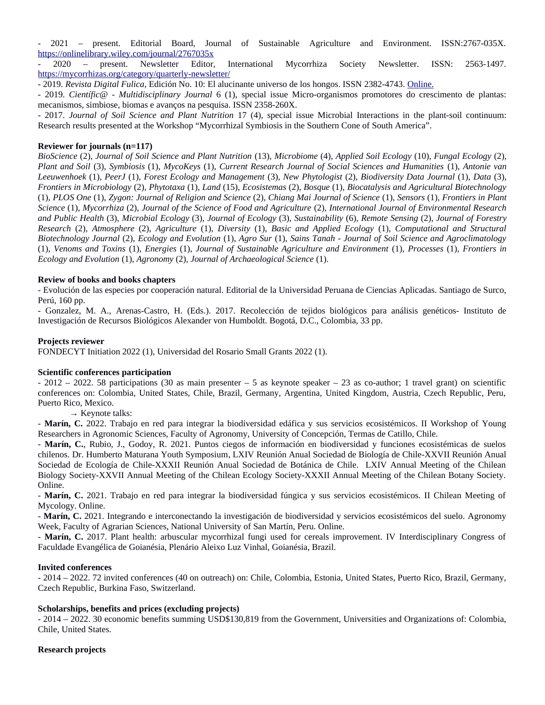- 2021 – present. Editorial Board, Journal of Sustainable Agriculture and Environment. ISSN:2767-035X. https://onimenorary.wiley.com/journal/2767035x - 2021 – present. Editorial Board, Journal of Sustainable Agriculture and Environment. ISSN:2767-035X.<br>-

2563-1497. - 2020 – present. Newsletter Editor, 1<br>https://mycorrhizas.org/category/quarterly-newsletter/ *Revista Digital Fulica*[, Edición No. 10: El aluc](https://mycorrhizas.org/category/quarterly-newsletter/)inante universo de los hongos. ISSN 2382-4743. <u>Online.</u><br>https://mycorrhizas.org/category/quarterly-newsletter/<br>- 2019. *Revista Digital Fulica*, Edición No. 10: El alucinan <u>nttps://my</u>

<u>nttps://mycorrnizas.org/category/quarterly-newsletter/</u><br>- 2019. *Revista Digital Fulica*, Edición No. 10: El alucinante universo de los hongos. ISSN 2382-4743. <u>Online.</u><br>- 2019. *Científic@ - Multidisciplinary Journal* 6 mecanismos, simbiose, biomas e avanços na pesquisa. ISSN 2358-260X. *Joentyte@ - Mutualscipunary Journal* 6 (1), special issue Micro-organismos promotores do crescimento de plantas:<br>nos, simbiose, biomas e avanços na pesquisa. ISSN 2358-260X.<br>Journal of Soil Science and Plant Nutrition 17 mecanismos, simbiose, biomas e avanços na pesquisa. ISSN 2358-260X.

Research results presented at the Workshop "Mycorrhizal Symbiosis in the Southern Cone of South America".

## **Reviewer for journals (n=117)**

*BioScience* (2), *Journal of Soil Science and Plant Nutrition* (13), *Microbiome* (4), *Applied Soil Ecology* (10), *Fungal Ecology* (2), **Reviewer tor journais (n=11/)**<br>BioScience (2), Journal of Soil Science and Plant Nutrition (13), Microbiome (4), Applied Soil Ecology (10), Fungal Ecology (2),<br>Plant and Soil (3), Symbiosis (1), MycoKeys (1), Current Rese *Leeuwence (2), Journal of Soli Science and Plant Nutrition (13), Microbiome (4), Applied Soli Ecology (10), Fungal Ecology (2), Plant and Soli (3), Symbiosis (1), MycoKeys (1), Current Research Journal of Social Sciences Frontiers in Microbiology* (2), *Phytotaxa* (1), *Land* (15), *Ecosistemas* (2), *Bosque* (1), *Biocatalysis and Agricultural Biotechnology* Leel<br>– *Prontiers in Microbiology* (2), *Phytotaxa* (1), *Land* (15), *Ecosistemas* (2), *Bosque* (1), *Biocatalysis and Agricultural Biotechnology* (1), *PLOS One* (1), *Zygon: Journal of Religion and Science* (2), *Chiang Mai Journal of Science* (1), *Sensors* (1), *Frontiers* in *Plant and Public Health* (3), *Microbial Ecology* (3), *Journal of Ecology* (3), *Sustainability* (6), *Remote Sensing* (2), *Journal of Forestry* and Public Health (3), Microbial Ecology (3), *Journal of Ecology (3), Sustainability (6), Remote Sensing (2), Journal of Forestry* ana Public Health (3), Microbial Ecology (3), Journal of Ecology (3), Sustainability (6), Remote Sensing (2), Journal of Porestry<br>Research (2), Atmosphere (2), Agriculture (1), Diversity (1), Basic and Applied Ecology (1), Research (2), Atmosphere (2), Agriculture (1), Diversity (1), Basic and Applied Ecology (1), Computational and Structural *Varch (2), Almosphere (2), Agriculture (1), Diversity (1), Basic and Applied Ecology (1), Compulational and Structural<br>echnology Journal (2), Ecology and Evolution (1), Agro Sur (1), Sains Tanah - Journal of Soil Science Ecology and Evolution* (1), *Agronomy* (2), *Journal of Archaeological Science* (1).

## Review of books and books chapters - Evolución de las especies por cooperación natural. Editorial de la Universidad Peruana de Ciencias Aplicadas. Santiago de Surco,

- Evolución de las especies por cooperación natural. Editorial de la Universidad Peruana de Ciencias Aplicadas. Santiago de Surco, Perú, 160 pp.

reru, 160 pp.<br>- Gonzalez, M. A., Arenas-Castro, H. (Eds.). 2017. Recolección de tejidos biológicos para análisis genéticos- Instituto de Investigación de Recursos Biológicos Alexander von Humboldt. Bogotá, D.C., Colombia, 33 pp.

### **Projects reviewer**  $\mathcal{F}$  in the cytometric  $\mathcal{F}$  in the contract del Rosario Small Grants 2022 (1).

FONDECYT Initiation 2022 (1), Universidad del Rosario Small Grants 2022 (1).

### **Scientific conferences participation**  $\overline{a}$  participations (30 as main presenter – 5 as keynote speaker – 23 as co-author; 1 travel grant) on scientifications (30 as co-author; 1 travel grant) on scientifications (30 as co-author; 1 travel grant) on scient

**scientinc conferences participation**<br>- 2012 – 2022. 58 participations (30 as main presenter – 5 as keynote speaker – 23 as co-author; 1 travel grant) on scientific ces on: Colombia, United States, Chile, Brazil, Germany, Argentina, United Kingdom, Austria, Czech Republic, Peru,<br>.  $P = 2012 - 2022.58$  p PUEILO RICO, MEXICO.

 $\rightarrow$  Keynote talks:

Puerto Kico, Mexico.<br>→ Keynote talks:<br>**- Marín, C.** 2022. Trabajo en red para integrar la biodiversidad edáfica y sus servicios ecosistémicos. II Workshop of Young chilenos. Dr. Humberto Schences, Faculty of Agronomy, University of Concepcion, Termas de Catillo, Chile. - 14<br>-**- Marin, C.** 2022. Trabajo en red para integrar la biodiversidad edalica y sus servicios ecosistemicos. Il workshop of Young<br>Researchers in Agronomic Sciences, Faculty of Agronomy, University of Concepción, Termas de Cati

 $\mathcal{L}_{\text{min}}$  Society-XXVII Representation of the Chilean Ecology Society-XXVII  $\mathcal{L}_{\text{min}}$  and  $\mathcal{L}_{\text{min}}$  and  $\mathcal{L}_{\text{min}}$  and  $\mathcal{L}_{\text{min}}$  and  $\mathcal{L}_{\text{min}}$  and  $\mathcal{L}_{\text{min}}$  and  $\mathcal{L}_{\text{min}}$  and  $\mathcal{L}_{\text{min}}$  a Sociedad de Ecológia de Chile-XXXII Reunión Anual Sociedad de Botanica de Chile. LATV Annual Meeting of the Chilean Biology Society-AXVII Annual Meeting of the Chilean Ecology Society-AXXII Annual Meeting of the Chilean Botany Society. Online. Biology Society-XXVII Annual Meeting of the Chilean Ecology Society-XXXII Annual Meeting of the Chilean Botany Society.<br>Online.<br>- **Marín, C.** 2021. Trabajo en red para integrar la biodiversidad fúngica y sus servicios ecos

Mycology. Online. - - **Marin, C.** 2021. Trabajo en red para integrar la biodiversidad fungica y sus servicios ecosistemicos. Il Chilean Meeting of<br>Mycology. Online.<br>- **Marín, C.** 2021. Integrando e interconectando la investigación de biodiver

week, Faculty of Agrafian Sciences, National University of San Martin, Peru. Unline. - IV<br>-

**Marín, C.** 2017. Plant health: arbuscular mycorrhizal fungi used for cereals improvement. IV Interdisciplinary Congress of Faculdade Evangélica de Goianésia, Plenário Aleixo Luz Vinhal, Goianésia, Brazil.

### **Invited conferences** - 2014 – 2022. 72 invited conferences (40 on outreach) on: Chile, Colombia, Estonia, United States, Puerto Rico, Brazil, Germany,

**Invited conferences**<br>- 2014 – 2022. 72 invited conferences (40 on outreach) on: Chile, Colombia, Estonia, United States, Puerto Rico, Brazil, Germany, Czech Republic, Burkina Faso, Switzerland.

## - 2014 Scholarships, benefits and prices (excluding projects)<br>- 2014 - 2022. 30 economic benefits and Orices (excluding projects) Scholarships, Denei

- 2014 - 2022. 30 economic benefits summing USD\$130,819 from the Government, Universities and Organizations of: Colombia, Chile, United States.

## **Research projects**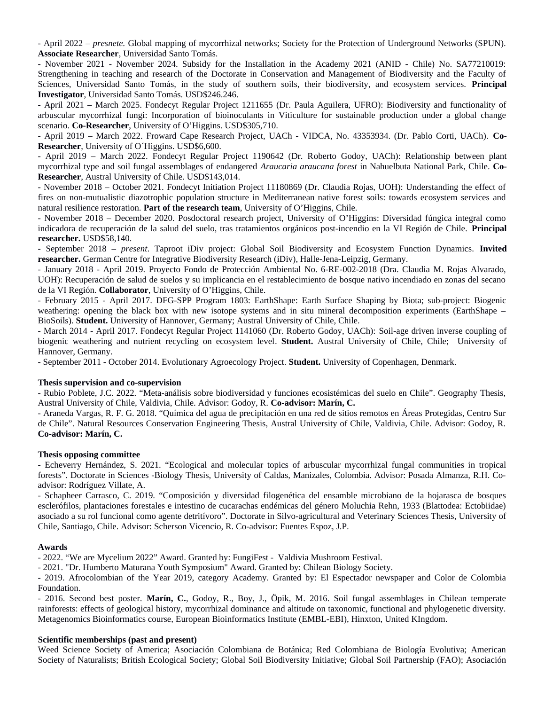*presnete.* Global mapping of mycorrhizal networks; Society for the Protection of Underground Networks (SPUN). - April 2022 – *presnete*. Global mapping of mycorrhizal networks; Society for the Protection of Underground Networks (SPUN).<br>**Associate Researcher**, Universidad Santo Tomás.

Associate Researcher, Universidad Santo Fomas.<br>- November 2021 - November 2024. Subsidy for the Installation in the Academy 2021 (ANID - Chile) No. SA77210019: Strengthening in teaching and research of the Doctorate in Conservation and Management of Biodiversity and the Faculty of Sciences 2021 - November 2024, Substay for the installation in the Academy 2021 (ANID - Chile) No. SA77 Strengthening in teacning and research of the Doctorate in Conservation and Management of Biodiversity and the Faculty of<br>Sciences, Universidad Santo Tomás, in the study of southern soils, their biodiversity, and ecosystem

**invesugator**, Oniversidad Santo Tomas. OSD\$246.246.<br>- April 2021 – March 2025. Fondecyt Regular Project 1211655 (Dr. Paula Aguilera, UFRO): Biodiversity and functionality of arbuscular mycorrhizal fungi: incorporation of biomoculants in viticulture for sustainable production under a global change - April 20<br>. **Co-Researcher**, University of O'Higgins. USD\$305,710.

scenario. **Co-Researcher**, University of O´Higgins. USD\$305,710.<br>- April 2019 – March 2022. Froward Cape Research Project, UACh - VIDCA, No. 43353934. (Dr. Pablo Corti, UACh). **Co-**<br>**Researcher**, University of O´Higgins. U Researcher, University of O'Higgins. USD\$6,600.

*Araucaria araucana forest* in Nahuelbuta National Park, Chile. **Co-Researcher**, Austral University of Chile. USD\$143,014. mycorrhizal type and soil fungal assemblages of endangered Araucaria araucana forest in Nahuelbuta National Park, Chile. Co-

**researcner**, Austral University of Unile. USD\$143,014.<br>- November 2018 – October 2021. Fondecyt Initiation Project 11180869 (Dr. Claudia Rojas, UOH): Understanding the effect of - November 2018 – October<br>C - November 2018 – October 2021. Fondecyt Initiation Project 11180869 (Dr. Claudia Rojas, OOH): Understanding the effect of<br>fires on non-mutualistic diazotrophic population structure in Mediterranean native forest soils: to natural resilience restoration. Part of the research team, University of O'Higgins, Chile.

- November 2018 – December 2020. Posdoctoral research project, University of O'Higgins: Diversidad fúngica integral como - November 2018 – December 2020. Posaoctoral research project, University of U Higgins: Diversidad fungica integral como<br>indicadora de recuperación de la salud del suelo, tras tratamientos orgánicos post-incendio en la VI marcadora de recuperación de la salud del suelo, tras tratamientos organicos post-incendio en la VI Región de Chile. **Principal**<br>**researcher.** USD\$58,140.<br>- September 2018 – *present*. Taproot iDiv project: Global Soil Bio

**researcher.** OSD<sub>3</sub>58,140.<br>- September 2018 – *present*. Taproot iDiv project: Global Soil Biodiversity and Ecosystem Function Dynamics. **Invited**<br>**researcher.** German Centre for Integrative Biodiversity Research (iDiv),

- January 2018 - April 2019. Proyecto Fondo de Protección Ambiental No. 6-RE-002-2016 (Dra. Claudia M. Rojas Alvarado, - January 2018 - April 2019. Proyecto Fondo de Proteccion Ambiental No. 6-KE-002-2018 (Dra. Claudia M. Rojas Alvarado,<br>UOH): Recuperación de salud de suelos y su implicancia en el restablecimiento de bosque nativo incendia

de la vi Region. **Collaborator**, Oniversity of O'Higgins, Chile.<br>- February 2015 - April 2017. DFG-SPP Program 1803: EarthShape: Earth Surface Shaping by Biota; sub-project: Biogenic - February - February 2015 - April 2017. DFG-SPP Program 1803: EarthSnape: Earth Suriace Snaping by Biota; sub-project: Biogenic<br>weathering: opening the black box with new isotope systems and in situ mineral decomposition experiments BioSoils). Student. University of Hannover, Germany; Austral University of Chile, Chile.

- March 2014 - April 2017. Fondecyt Regular Project 1141060 (Dr. Roberto Godoy, OACh): Soll-age driven inverse coupling of Biosons). **Student.** Oniversity of Hannover, Germany; Austral Oniversity of Chile, Chile.<br>- March 2014 - April 2017. Fondecyt Regular Project 1141060 (Dr. Roberto Godoy, UACh): Soil-age driven inverse coupling of<br>biogenic Hannover, Germany.

- September 2011 - October 2014. Evolutionary Agroecology Project. **Student.** University of Copenhagen, Denmark.

## **Thesis supervision and co-supervision**<br>
Australian Chile, Chile, Chile, Chile, Chile, Chile. Advisor: Godo - Rubio Poblete, J.C. 2022. "Meta-análisis sobre biodiversidad y funciones ecosistémicas del suelo en Chile". Geography Thesis,

- Rubio Poblete, J.C. 2022. "Meta-analisis sobre biodiversidad y funciones ecosistemicas del suelo en Chile". Geography Thesis, Austral University of Chile, Valdivia, Chile. Advisor: Godoy, R. **Co-advisor: Marín, C.**<br>Austral University of Chile, Valdivia, Chile. Advisor: Godoy, R. **Co-advisor: Marín, C.** 

- Araneda Vargas, R. F. G. 2018. "Química del agua de precipitación en una red de sitios remotos en Áreas Protegidas, Centro Sur de Chile". Natural Resources Conservation Engineering Thesis, Austral University of Chile, Valdivia, Chile. Advisor: Godoy, R. **Co-advisor: Marín, C.**

### **Thesis opposing committee**  $\mathbf{E}$  . 2021. "Ecological and molecular topics of arbuscular mycorrhizal fungal communities in tropical fungal communities in tropical fungal communities in tropical fungal communities in tropical fungal communities in

**forests opposing committee**<br>- Echeverry Hernández, S. 2021. "Ecological and molecular topics of arbuscular mycorrhizal fungal communities in tropical - Ecneverry Hernangez, S. 2 advisor: Rodríguez Villate, A. forests". Doctorate in Sciences -Biology Thesis, University of Caldas, Manizales, Colombia. Advisor: Posada Almanza, R.H. Co-

agvisor: Rogriguez villate, A.<br>- Schapheer Carrasco, C. 2019. "Composición y diversidad filogenética del ensamble microbiano de la hojarasca de bosques escieromos, piantaciones forestares e intestino de cucarachas endemicas del genero Moluchia Renn, 1933 (Biattodea: Ectobridae) - Schapheer Carrasco, C. 2019. "Composición y diversidad filógenetica del ensamble microbiano de la hojarasca de posques asociado a su rol funcional como agente detritívoro". Doctorate in Silvo-agricultural and Veterinary Sciences Thesis, University of Chile, Santiago, Chile. Advisor: Scherson Vicencio, R. Co-advisor: Fuentes Espoz, J.P.

### **Awards** - 2022. "We are Mycelium 2022" Award. Granted by: FungiFest - Valdivia Mushroom Festival.

 $A$ wards. "Dr. Humberto Maturana Youth Symposium" Award. Granted by: Chilean Biology Society. Chilean Biology Society. Chilean Biology Society. Chilean Biology Society. Chilean Biology Society. Chilean Biology Society. Ch - 2022. We are Mycenum 2022 Award. Granted by: Fungiriest - Valdivia Mushroom Fesuval.

- 2021. Dr. Humberto Maturana Youth Symposium Award. Granted by: Chilean Blology Society.

- 2019. Afrocolombian of the Year 2019, category Academy. Granted by: El Espectador newspaper and Color de Colombia<br>— - 2019. Afrocolombian of the Year 2019, category Academy. Granted by: El Espectador newspaper and Color de Colombia<br>Foundation.<br>- 2016. Second best poster. **Marín, C.**, Godoy, R., Boy, J., Öpik, M. 2016. Soil fungal assemb

rainforests: effects of geological history, mycorrhizal dominance and altitude on taxonomic, functional and phylogenetic diversity. - 2016. Second best poster. Marin, C., Godoy, R., Boy, J., Opik, M. 2016. Soli fungai assemblages in Cr Metagenomics Bioinformatics course, European Bioinformatics Institute (EMBL-EBI), Hinxton, United KIngdom.

### **Scientific memberships (past and present)** Weed Science Society of America; Asociación Colombiana de Botánica; Red Colombiana de Biología Evolutiva; American

**scientinc membersnips (past and present)**<br>Weed Science Society of America; Asociación Colombiana de Botánica; Red Colombiana de Biología Evolutiva; American Society of Naturalists; British Ecological Society; Global Soil Biodiversity Initiative; Global Soil Partnership (FAO); Asociación